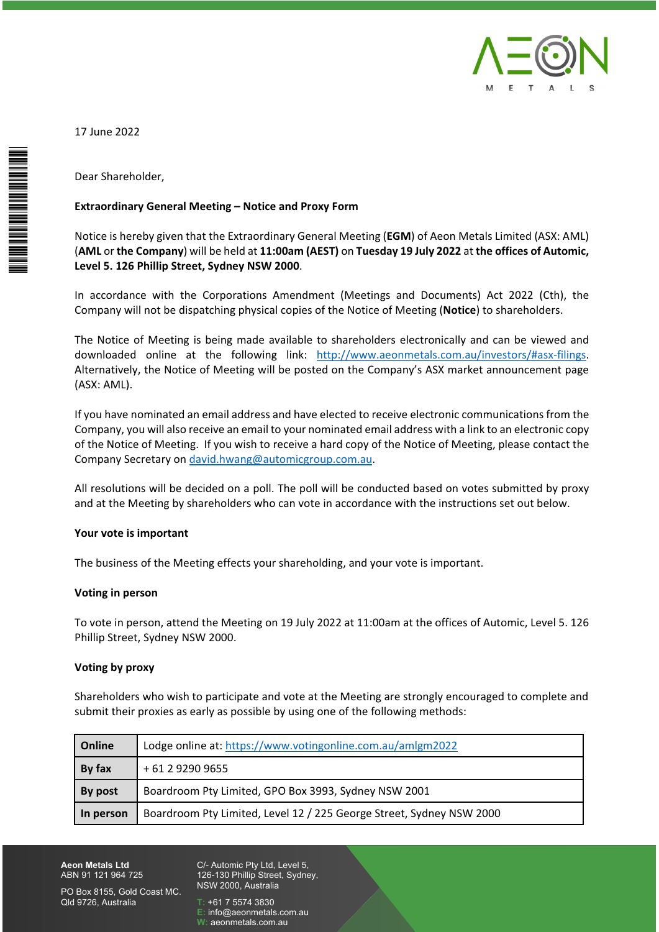

 June 2022 17 June 2022



# der,<br>General Meeting – Notice and Proxy Form Extraordi

e 2022<br>hareholder,<br>rdinary General Meeting – Notice and Proxy Form<br>is hereby given that the Extraordinary General Meeting (EGM) of Aeon Metals Limited (ASX: AML) areholder,<br>dinary General Meeting – Notice and Proxy Form<br>s hereby given that the Extraordinary General Meeting (EGM) of Aeon Metals Limited (ASX: AML)<br>the Company) will be held at 11:00am (AEST) on Tuesday 19 July 2022 at Shareholder,<br> **ordinary General Meeting – Notice and F**<br> **e** is hereby given that the Extraordinary G<br>
or **the Company**) will be held at 11:00am<br> **5. 126 Phillip Street. Sydney NSW 2000.** rand Extraordinary General Meeting – Notice and Proxy Form<br>The Corporation of Aeon Metals Limited (ASX: AML)<br>ML or the Company) will be held at 11:00am (AEST) on Tuesday 19 July 2022 at the offices of Automic,<br>The S. 126 P nary General Meeting – Notice and Proxy Form<br>hereby given that the Extraordinary General Meeting (EGM) of Aeon Metals Limited (ASX:<br>he Company) will be held at 11:00am (AEST) on Tuesday 19 July 2022 at the offices of Auto<br> Not ice is hereby given that the Extraordinary General Meeting (**EGM**) of Aeon Metals Limited (ASX: AML)<br> **1L** or **the Company**) will be held at **11:00am (AEST)** on **Tuesday 19 July 2022** at **the offices of Automic,**<br> **el 5. 1** (AML or the Company) will be held at 11:00am (AEST) on Tuesday 19 July 2022 at the offices of Automic, Level 5. 126 Phillip Street, Sydney NSW 2000.

Company) will be held at 11:00am (AEST) on Tuesday 19 July 2022 at the offices of Automic,<br>
Phillip Street, Sydney NSW 2000.<br>
ce with the Corporations Amendment (Meetings and Documents) Act 2022 (Cth), the<br>
Il not be dispa Company will not be dispatching physical copies of the Notice of Meeting (Notice) to shareholders.

Phillip Street, Sydney NSW 2000.<br>
e with the Corporations Amendment (Meetings and Documents) Act 2022 (Cth), the<br>
not be dispatching physical copies of the Notice of Meeting (Notice) to shareholders.<br>
f Meeting is being ma cordan<br>Dany wi<br>Notice<br>Matively<br>AML). ompany will not be dispatching physical copies of the Notice of Meeting (**Notice**) to shareholders.<br>
he Notice of Meeting is being made available to shareholders electronically and can be viewed and<br>
ownloaded online at th e of Meeting is being made available to shareholders electronically and can be viewed and<br>ed online at the following link: <u>http://www.aeonmetals.com.au/investors/#asx-filings</u>.<br>ely, the Notice of Meeting will be posted on The Notice of Meeting is being made available to shareholders electronically and can be viewed and the Notice of Meeting is being made available to shareholders electronically and can be viewed and<br>wish of domine at the following link: <u>http://www.aeonmetals.com.au/investors/#asx-filings</u>.<br>ternatively, the Notice of Mee (ASX: AML).

downloaded online at the following link: <u>http://www.</u><br>Alternatively, the Notice of Meeting will be posted on the Co<br>(ASX: AML).<br>If you have nominated an email address and have elected to re<br>Company, you will also receive SX: AML).<br>vou have nominated an email address and have elected to receive electronic communications from the<br>mpany, you will also receive an email to your nominated email address with a link to an electronic copy<br>the Notic by that the Meeting and means and the Meeting deceive electronic communications from<br>the Motice of Meeting. If you wish to receive a hard copy of the Notice of Meeting, please contact<br>the Notice of Meeting. If you wish to Company, you will also i Company Secretary on david.hwang@automicgroup.com.au.

mpany Secretary on <u>david.hwang@automicgroup.com.au</u>.<br>
resolutions will be decided on a poll. The poll will be conducted based on vote<br>
at the Meeting by shareholders who can vote in accordance with the instruction<br> **is im** All resolutions w<br>and at the Meeti<br>Your vote is imperson<br>The business of t<br>Voting in person

# Your vote is important

# Voting in person

ur vote is important<br>
e business of the Meeting effects your shareholding, and your vote is important.<br>
ting in person.<br>
vote in person, attend the Meeting on 19 July 2022 at 11:00am at the offices of Automic, Level 5, 126 rote is important<br>usiness of the Meeting effec<br>g in person<br>e in person, attend the Mee<br>Street. Sydnev NSW 2000. The business of<br>**Voting in persor<br>To vote in perso<br>Phillip Street, Sy<br>Voting by proxy** son<br>The wish to Meeting on 19 July 2022 at 11:00am at the offices of Automic, Level 5. 126<br>Sydney NSW 2000.<br>Who wish to participate and vote at the Meeting are strongly encouraged to complete and opthiar in person, attend the Meeting on 19 July 2022 at 11:00am at the offices<br>Street, Sydney NSW 2000.<br>**by proxy**<br>olders who wish to participate and vote at the Meeting are strongly ence<br>their proxies as early as possibl Phillip Street, Sydney NSW 2000.

# Voting by proxy

y NSW 2000.<br>Vish to participate and vote at the Meeting are strongly ent<br>as early as possible by using one of the following method<br>online at: https://www.votingonline.com.au/amlgm2022 Shareholders who wish to participate and vote at the Meeting are strongly encouraged to complete and submit their proxies as early as possible by using one of the following methods:

| Voting by proxy                                                                                                                                                                          |                                                                      |
|------------------------------------------------------------------------------------------------------------------------------------------------------------------------------------------|----------------------------------------------------------------------|
| Shareholders who wish to participate and vote at the Meeting are strongly encouraged to complete and<br>submit their proxies as early as possible by using one of the following methods: |                                                                      |
| Online                                                                                                                                                                                   | Lodge online at: https://www.votingonline.com.au/amlgm2022           |
| By fax                                                                                                                                                                                   | + 61 2 9290 9655                                                     |
| By post                                                                                                                                                                                  | Boardroom Pty Limited, GPO Box 3993, Sydney NSW 2001                 |
| In person                                                                                                                                                                                | Boardroom Pty Limited, Level 12 / 225 George Street, Sydney NSW 2000 |

**Aeon Metals Ltd** ABN 91 121 964 725

126-130 Phillip Street, Sydney, NSW 2000, Australia -<br>Automic Pty Ltd,<br>16-130 Phillip Stree<br>SW 2000, Australia<br>+61 7 5574 3830 - Automic Pty Ltd, Level 5,<br>i6-130 Phillip Street, Sydne<br>SW 2000, Australia<br>+61 7 5574 3830<br>info@aeonmetals.com.au Automic Pty Ltd, Lev<br>6-130 Phillip Street, S<br>6-130 Phillip Street, S<br>461 7 5574 3830<br>info@aeonmetals.com<br>aeonmetals.com.au

W:

PO Box 8155, Gold Coast MC. Old 9726. Australia